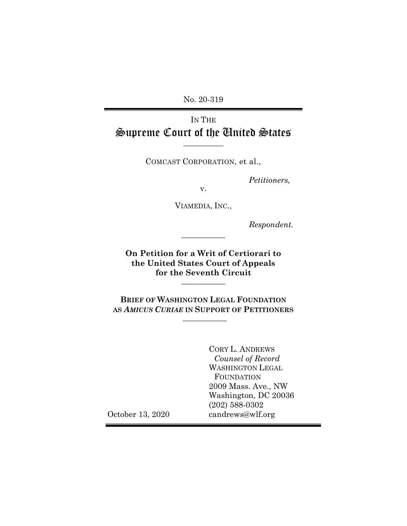No. 20-319

# IN THE Supreme Court of the United States

**\_\_\_\_\_\_\_\_\_\_\_**

COMCAST CORPORATION, et al.,

*Petitioners,*

v.

VIAMEDIA, INC.,

*Respondent.*

**On Petition for a Writ of Certiorari to the United States Court of Appeals for the Seventh Circuit \_\_\_\_\_\_\_\_\_\_\_**

**\_\_\_\_\_\_\_\_\_\_\_**

**BRIEF OF WASHINGTON LEGAL FOUNDATION AS** *AMICUS CURIAE* **IN SUPPORT OF PETITIONERS \_\_\_\_\_\_\_\_\_\_\_**

> CORY L. ANDREWS *Counsel of Record* WASHINGTON LEGAL FOUNDATION 2009 Mass. Ave., NW Washington, DC 20036 (202) 588-0302 candrews@wlf.org

October 13, 2020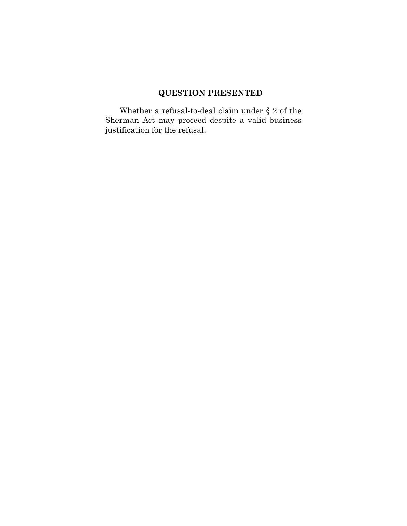## **QUESTION PRESENTED**

Whether a refusal-to-deal claim under  $\S$  2 of the Sherman Act may proceed despite a valid business justification for the refusal.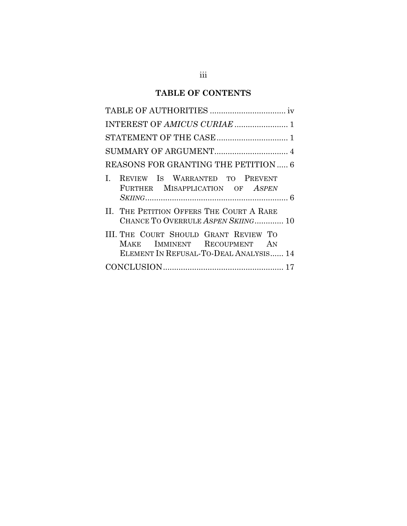### **TABLE OF CONTENTS**

| STATEMENT OF THE CASE  1                                                                                       |
|----------------------------------------------------------------------------------------------------------------|
|                                                                                                                |
| REASONS FOR GRANTING THE PETITION  6                                                                           |
| REVIEW IS WARRANTED TO PREVENT<br>$\mathbf{L}$<br>FURTHER MISAPPLICATION OF ASPEN                              |
| II. THE PETITION OFFERS THE COURT A RARE<br>CHANCE TO OVERRULE ASPEN SKIING 10                                 |
| III. THE COURT SHOULD GRANT REVIEW TO<br>MAKE IMMINENT RECOUPMENT AN<br>ELEMENT IN REFUSAL-TO-DEAL ANALYSIS 14 |
|                                                                                                                |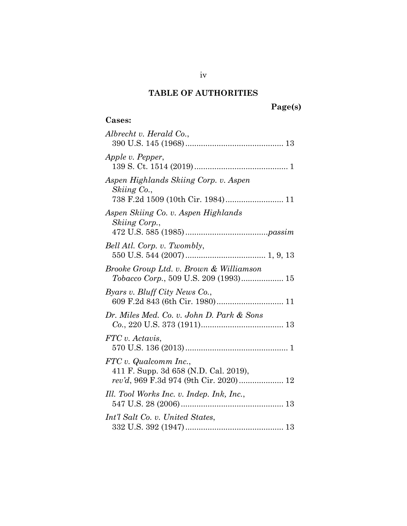## **TABLE OF AUTHORITIES**

## **Page(s)**

## **Cases:**

| Albrecht v. Herald Co.,                                                                   |
|-------------------------------------------------------------------------------------------|
| Apple v. Pepper,                                                                          |
| Aspen Highlands Skiing Corp. v. Aspen<br>Skiing Co.,<br>738 F.2d 1509 (10th Cir. 1984) 11 |
| Aspen Skiing Co. v. Aspen Highlands<br>Skiing Corp.,                                      |
| Bell Atl. Corp. v. Twombly,                                                               |
| Brooke Group Ltd. v. Brown & Williamson<br>Tobacco Corp., 509 U.S. 209 (1993) 15          |
| Byars v. Bluff City News Co.,                                                             |
| Dr. Miles Med. Co. v. John D. Park & Sons                                                 |
| FTC v. Actavis,                                                                           |
| FTC v. Qualcomm Inc.,<br>411 F. Supp. 3d 658 (N.D. Cal. 2019),                            |
| Ill. Tool Works Inc. v. Indep. Ink, Inc.,                                                 |
| Int'l Salt Co. v. United States,                                                          |

iv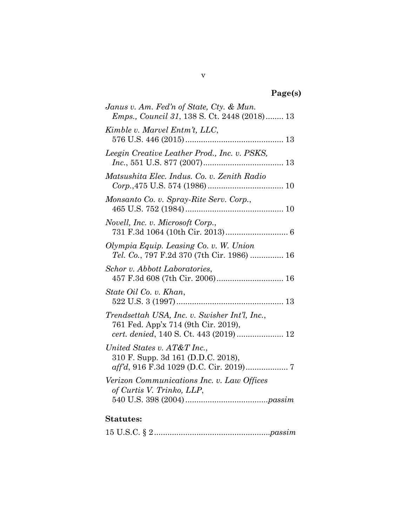# **Page(s)**

| Janus v. Am. Fed'n of State, Cty. & Mun.<br><i>Emps., Council 31, 138 S. Ct. 2448 (2018) 13</i>                                |
|--------------------------------------------------------------------------------------------------------------------------------|
| Kimble v. Marvel Entm't, LLC,                                                                                                  |
| Leegin Creative Leather Prod., Inc. v. PSKS,                                                                                   |
| Matsushita Elec. Indus. Co. v. Zenith Radio                                                                                    |
| Monsanto Co. v. Spray-Rite Serv. Corp.,                                                                                        |
| Novell, Inc. v. Microsoft Corp.,                                                                                               |
| Olympia Equip. Leasing Co. v. W. Union<br>Tel. Co., 797 F.2d 370 (7th Cir. 1986)  16                                           |
| Schor v. Abbott Laboratories,                                                                                                  |
| State Oil Co. v. Khan,                                                                                                         |
| Trendsettah USA, Inc. v. Swisher Int'l, Inc.,<br>761 Fed. App'x 714 (9th Cir. 2019),<br>cert. denied, 140 S. Ct. 443 (2019) 12 |
| United States v. AT&T Inc.,<br>310 F. Supp. 3d 161 (D.D.C. 2018),                                                              |
| Verizon Communications Inc. v. Law Offices<br>of Curtis V. Trinko, LLP,                                                        |
|                                                                                                                                |

## **Statutes:**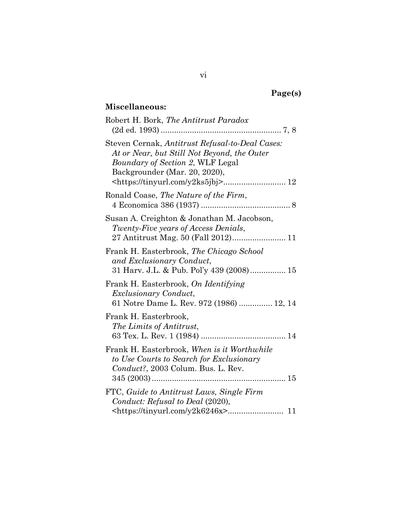# **Page(s)**

## **Miscellaneous:**

| Robert H. Bork, The Antitrust Paradox                                                                                                                                      |
|----------------------------------------------------------------------------------------------------------------------------------------------------------------------------|
| Steven Cernak, Antitrust Refusal-to-Deal Cases:<br>At or Near, but Still Not Beyond, the Outer<br><i>Boundary of Section 2, WLF Legal</i><br>Backgrounder (Mar. 20, 2020), |
| Ronald Coase, The Nature of the Firm,                                                                                                                                      |
| Susan A. Creighton & Jonathan M. Jacobson,<br>Twenty-Five years of Access Denials,                                                                                         |
| Frank H. Easterbrook, The Chicago School<br>and Exclusionary Conduct,<br>31 Harv. J.L. & Pub. Pol'y 439 (2008) 15                                                          |
| Frank H. Easterbrook, On Identifying<br><i>Exclusionary Conduct,</i><br>61 Notre Dame L. Rev. 972 (1986)  12, 14                                                           |
| Frank H. Easterbrook,<br>The Limits of Antitrust,                                                                                                                          |
| Frank H. Easterbrook, When is it Worthwhile<br>to Use Courts to Search for Exclusionary<br>Conduct?, 2003 Colum. Bus. L. Rev.                                              |
| FTC, Guide to Antitrust Laws, Single Firm<br>Conduct: Refusal to Deal (2020),                                                                                              |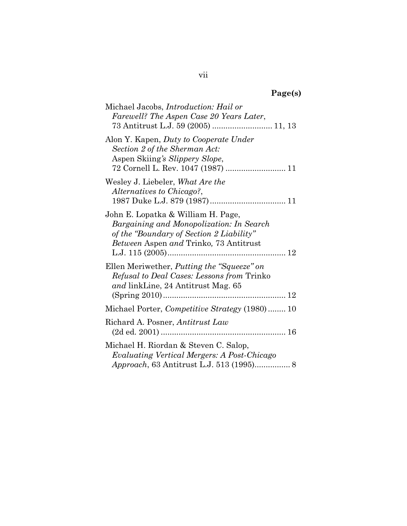# **Page(s)**

| Michael Jacobs, <i>Introduction: Hail or</i><br>Farewell? The Aspen Case 20 Years Later,                                                                                    |
|-----------------------------------------------------------------------------------------------------------------------------------------------------------------------------|
| Alon Y. Kapen, Duty to Cooperate Under<br>Section 2 of the Sherman Act:<br>Aspen Skiing's Slippery Slope,<br>72 Cornell L. Rev. 1047 (1987)  11                             |
| Wesley J. Liebeler, What Are the<br>Alternatives to Chicago?,                                                                                                               |
| John E. Lopatka & William H. Page,<br>Bargaining and Monopolization: In Search<br>of the "Boundary of Section 2 Liability"<br><i>Between</i> Aspen and Trinko, 73 Antitrust |
| Ellen Meriwether, <i>Putting the "Squeeze" on</i><br><i>Refusal to Deal Cases: Lessons from Trinko</i><br>and linkLine, 24 Antitrust Mag. 65                                |
| Michael Porter, Competitive Strategy (1980) 10                                                                                                                              |
| Richard A. Posner, Antitrust Law                                                                                                                                            |
| Michael H. Riordan & Steven C. Salop,<br>Evaluating Vertical Mergers: A Post-Chicago<br>Approach, 63 Antitrust L.J. 513 (1995) 8                                            |

vii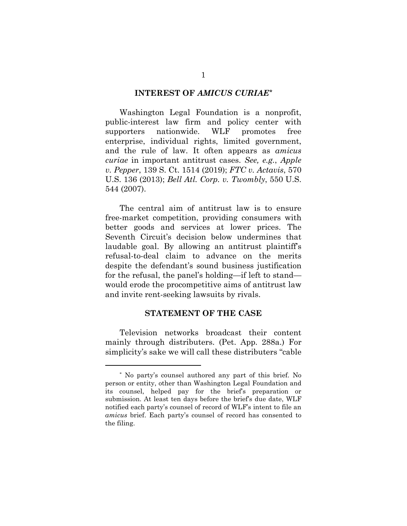#### **INTEREST OF** *AMICUS CURIAE[\\*](#page-7-0)*

Washington Legal Foundation is a nonprofit, public-interest law firm and policy center with supporters nationwide. WLF promotes free enterprise, individual rights, limited government, and the rule of law. It often appears as *amicus curiae* in important antitrust cases. *See, e.g.*, *Apple v. Pepper*, 139 S. Ct. 1514 (2019); *FTC v. Actavis*, 570 U.S. 136 (2013); *Bell Atl. Corp. v. Twombly*, 550 U.S. 544 (2007).

The central aim of antitrust law is to ensure free-market competition, providing consumers with better goods and services at lower prices. The Seventh Circuit's decision below undermines that laudable goal. By allowing an antitrust plaintiff's refusal-to-deal claim to advance on the merits despite the defendant's sound business justification for the refusal, the panel's holding—if left to stand would erode the procompetitive aims of antitrust law and invite rent-seeking lawsuits by rivals.

#### **STATEMENT OF THE CASE**

Television networks broadcast their content mainly through distributers. (Pet. App. 288a.) For simplicity's sake we will call these distributers "cable

 $\overline{a}$ 

<span id="page-7-0"></span><sup>\*</sup> No party's counsel authored any part of this brief. No person or entity, other than Washington Legal Foundation and its counsel, helped pay for the brief's preparation or submission. At least ten days before the brief's due date, WLF notified each party's counsel of record of WLF's intent to file an *amicus* brief. Each party's counsel of record has consented to the filing.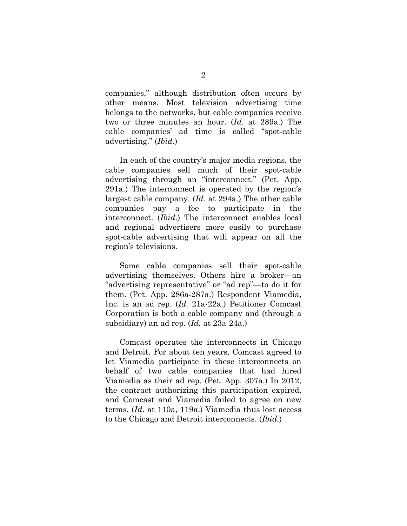companies," although distribution often occurs by other means. Most television advertising time belongs to the networks, but cable companies receive two or three minutes an hour. (*Id*. at 289a.) The cable companies' ad time is called "spot-cable advertising." (*Ibid.*)

In each of the country's major media regions, the cable companies sell much of their spot-cable advertising through an "interconnect." (Pet. App. 291a.) The interconnect is operated by the region's largest cable company. (*Id.* at 294a.) The other cable companies pay a fee to participate in the interconnect. (*Ibid*.) The interconnect enables local and regional advertisers more easily to purchase spot-cable advertising that will appear on all the region's televisions.

Some cable companies sell their spot-cable advertising themselves. Others hire a broker—an "advertising representative" or "ad rep"—to do it for them. (Pet. App. 286a-287a.) Respondent Viamedia, Inc. is an ad rep. (*Id*. 21a-22a.) Petitioner Comcast Corporation is both a cable company and (through a subsidiary) an ad rep. (*Id.* at 23a-24a.)

Comcast operates the interconnects in Chicago and Detroit. For about ten years, Comcast agreed to let Viamedia participate in these interconnects on behalf of two cable companies that had hired Viamedia as their ad rep. (Pet. App. 307a.) In 2012, the contract authorizing this participation expired, and Comcast and Viamedia failed to agree on new terms. (*Id*. at 110a, 119a.) Viamedia thus lost access to the Chicago and Detroit interconnects. (*Ibid.*)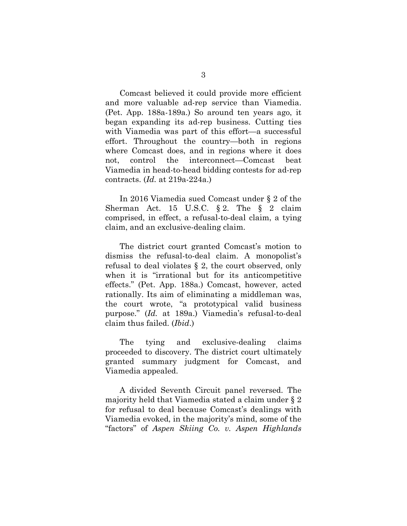Comcast believed it could provide more efficient and more valuable ad-rep service than Viamedia. (Pet. App. 188a-189a.) So around ten years ago, it began expanding its ad-rep business. Cutting ties with Viamedia was part of this effort—a successful effort. Throughout the country—both in regions where Comcast does, and in regions where it does not, control the interconnect—Comcast beat Viamedia in head-to-head bidding contests for ad-rep contracts. (*Id.* at 219a-224a.)

In 2016 Viamedia sued Comcast under § 2 of the Sherman Act. 15 U.S.C.  $\S 2$ . The  $\S 2$  claim comprised, in effect, a refusal-to-deal claim, a tying claim, and an exclusive-dealing claim.

The district court granted Comcast's motion to dismiss the refusal-to-deal claim. A monopolist's refusal to deal violates § 2, the court observed, only when it is "irrational but for its anticompetitive effects." (Pet. App. 188a.) Comcast, however, acted rationally. Its aim of eliminating a middleman was, the court wrote, "a prototypical valid business purpose." (*Id.* at 189a.) Viamedia's refusal-to-deal claim thus failed. (*Ibid*.)

The tying and exclusive-dealing claims proceeded to discovery. The district court ultimately granted summary judgment for Comcast, and Viamedia appealed.

A divided Seventh Circuit panel reversed. The majority held that Viamedia stated a claim under § 2 for refusal to deal because Comcast's dealings with Viamedia evoked, in the majority's mind, some of the "factors" of *Aspen Skiing Co. v. Aspen Highlands*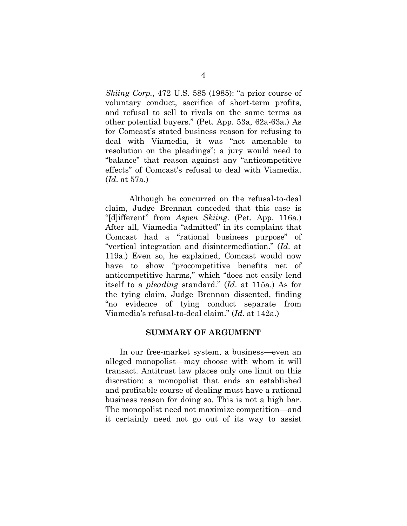*Skiing Corp.*, 472 U.S. 585 (1985): "a prior course of voluntary conduct, sacrifice of short-term profits, and refusal to sell to rivals on the same terms as other potential buyers." (Pet. App. 53a, 62a-63a.) As for Comcast's stated business reason for refusing to deal with Viamedia, it was "not amenable to resolution on the pleadings"; a jury would need to "balance" that reason against any "anticompetitive effects" of Comcast's refusal to deal with Viamedia. (*Id*. at 57a.)

Although he concurred on the refusal-to-deal claim, Judge Brennan conceded that this case is "[d]ifferent" from *Aspen Skiing*. (Pet. App. 116a.) After all, Viamedia "admitted" in its complaint that Comcast had a "rational business purpose" of "vertical integration and disintermediation." (*Id*. at 119a.) Even so, he explained, Comcast would now have to show "procompetitive benefits net of anticompetitive harms," which "does not easily lend itself to a *pleading* standard." (*Id*. at 115a.) As for the tying claim, Judge Brennan dissented, finding "no evidence of tying conduct separate from Viamedia's refusal-to-deal claim." (*Id*. at 142a.)

#### **SUMMARY OF ARGUMENT**

In our free-market system, a business—even an alleged monopolist—may choose with whom it will transact. Antitrust law places only one limit on this discretion: a monopolist that ends an established and profitable course of dealing must have a rational business reason for doing so. This is not a high bar. The monopolist need not maximize competition—and it certainly need not go out of its way to assist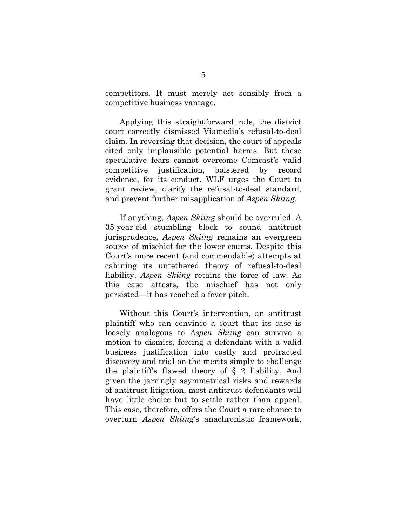competitors. It must merely act sensibly from a competitive business vantage.

Applying this straightforward rule, the district court correctly dismissed Viamedia's refusal-to-deal claim. In reversing that decision, the court of appeals cited only implausible potential harms. But these speculative fears cannot overcome Comcast's valid competitive justification, bolstered by record evidence, for its conduct. WLF urges the Court to grant review, clarify the refusal-to-deal standard, and prevent further misapplication of *Aspen Skiing*.

If anything, *Aspen Skiing* should be overruled. A 35-year-old stumbling block to sound antitrust jurisprudence, *Aspen Skiing* remains an evergreen source of mischief for the lower courts. Despite this Court's more recent (and commendable) attempts at cabining its untethered theory of refusal-to-deal liability, *Aspen Skiing* retains the force of law. As this case attests, the mischief has not only persisted—it has reached a fever pitch.

Without this Court's intervention, an antitrust plaintiff who can convince a court that its case is loosely analogous to *Aspen Skiing* can survive a motion to dismiss, forcing a defendant with a valid business justification into costly and protracted discovery and trial on the merits simply to challenge the plaintiff's flawed theory of § 2 liability. And given the jarringly asymmetrical risks and rewards of antitrust litigation, most antitrust defendants will have little choice but to settle rather than appeal. This case, therefore, offers the Court a rare chance to overturn *Aspen Skiing*'s anachronistic framework,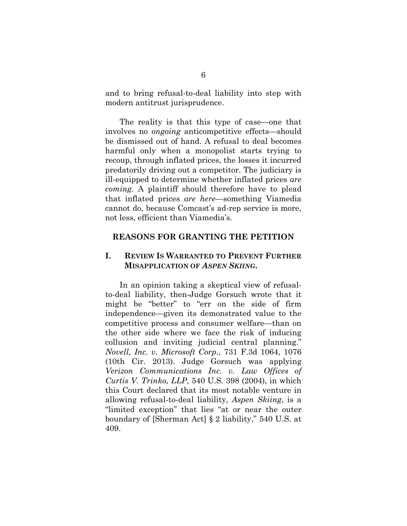and to bring refusal-to-deal liability into step with modern antitrust jurisprudence.

The reality is that this type of case—one that involves no *ongoing* anticompetitive effects—should be dismissed out of hand. A refusal to deal becomes harmful only when a monopolist starts trying to recoup, through inflated prices, the losses it incurred predatorily driving out a competitor. The judiciary is ill-equipped to determine whether inflated prices *are coming*. A plaintiff should therefore have to plead that inflated prices *are here*—something Viamedia cannot do, because Comcast's ad-rep service is more, not less, efficient than Viamedia's.

#### **REASONS FOR GRANTING THE PETITION**

### **I. REVIEW IS WARRANTED TO PREVENT FURTHER MISAPPLICATION OF** *ASPEN SKIING***.**

In an opinion taking a skeptical view of refusalto-deal liability, then-Judge Gorsuch wrote that it might be "better" to "err on the side of firm independence—given its demonstrated value to the competitive process and consumer welfare—than on the other side where we face the risk of inducing collusion and inviting judicial central planning." *Novell, Inc. v. Microsoft Corp.*, 731 F.3d 1064, 1076 (10th Cir. 2013). Judge Gorsuch was applying *Verizon Communications Inc. v. Law Offices of Curtis V. Trinko, LLP*, 540 U.S. 398 (2004), in which this Court declared that its most notable venture in allowing refusal-to-deal liability, *Aspen Skiing*, is a "limited exception" that lies "at or near the outer boundary of [Sherman Act] § 2 liability," 540 U.S. at 409.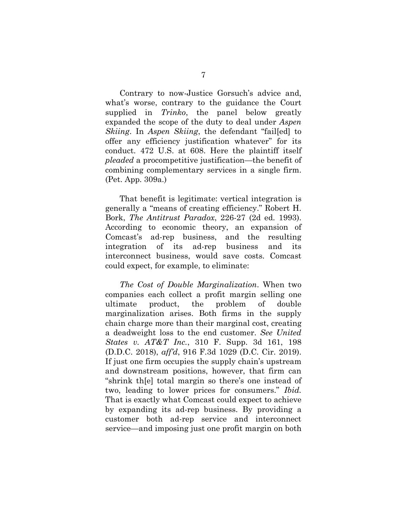Contrary to now-Justice Gorsuch's advice and, what's worse, contrary to the guidance the Court supplied in *Trinko*, the panel below greatly expanded the scope of the duty to deal under *Aspen Skiing*. In *Aspen Skiing*, the defendant "fail[ed] to offer any efficiency justification whatever" for its conduct. 472 U.S. at 608. Here the plaintiff itself *pleaded* a procompetitive justification—the benefit of combining complementary services in a single firm. (Pet. App. 309a.)

That benefit is legitimate: vertical integration is generally a "means of creating efficiency." Robert H. Bork, *The Antitrust Paradox*, 226-27 (2d ed. 1993). According to economic theory, an expansion of Comcast's ad-rep business, and the resulting integration of its ad-rep business and its interconnect business, would save costs. Comcast could expect, for example, to eliminate:

*The Cost of Double Marginalization*. When two companies each collect a profit margin selling one ultimate product, the problem of double marginalization arises. Both firms in the supply chain charge more than their marginal cost, creating a deadweight loss to the end customer. *See United States v. AT&T Inc.*, 310 F. Supp. 3d 161, 198 (D.D.C. 2018), *aff'd*, 916 F.3d 1029 (D.C. Cir. 2019). If just one firm occupies the supply chain's upstream and downstream positions, however, that firm can "shrink th[e] total margin so there's one instead of two, leading to lower prices for consumers." *Ibid.* That is exactly what Comcast could expect to achieve by expanding its ad-rep business. By providing a customer both ad-rep service and interconnect service—and imposing just one profit margin on both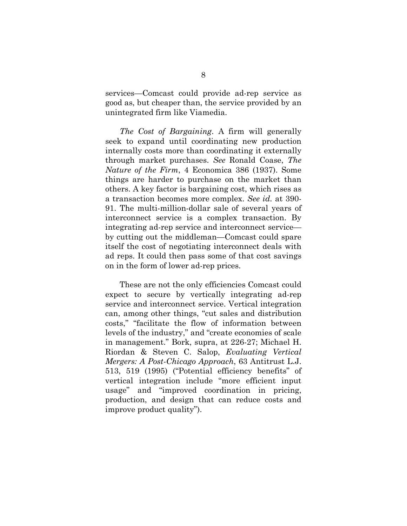services—Comcast could provide ad-rep service as good as, but cheaper than, the service provided by an unintegrated firm like Viamedia.

*The Cost of Bargaining*. A firm will generally seek to expand until coordinating new production internally costs more than coordinating it externally through market purchases. *See* Ronald Coase, *The Nature of the Firm*, 4 Economica 386 (1937). Some things are harder to purchase on the market than others. A key factor is bargaining cost, which rises as a transaction becomes more complex. *See id.* at 390- 91. The multi-million-dollar sale of several years of interconnect service is a complex transaction. By integrating ad-rep service and interconnect service by cutting out the middleman—Comcast could spare itself the cost of negotiating interconnect deals with ad reps. It could then pass some of that cost savings on in the form of lower ad-rep prices.

These are not the only efficiencies Comcast could expect to secure by vertically integrating ad-rep service and interconnect service. Vertical integration can, among other things, "cut sales and distribution costs," "facilitate the flow of information between levels of the industry," and "create economies of scale in management." Bork, supra, at 226-27; Michael H. Riordan & Steven C. Salop, *Evaluating Vertical Mergers: A Post-Chicago Approach*, 63 Antitrust L.J. 513, 519 (1995) ("Potential efficiency benefits" of vertical integration include "more efficient input usage" and "improved coordination in pricing, production, and design that can reduce costs and improve product quality").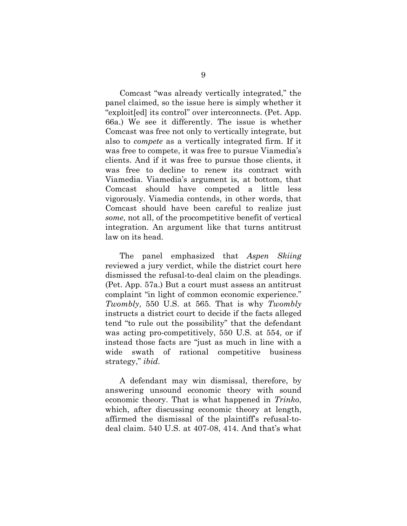Comcast "was already vertically integrated," the panel claimed, so the issue here is simply whether it "exploit[ed] its control" over interconnects. (Pet. App. 66a.) We see it differently. The issue is whether Comcast was free not only to vertically integrate, but also to *compete* as a vertically integrated firm. If it was free to compete, it was free to pursue Viamedia's clients. And if it was free to pursue those clients, it was free to decline to renew its contract with Viamedia. Viamedia's argument is, at bottom, that Comcast should have competed a little less vigorously. Viamedia contends, in other words, that Comcast should have been careful to realize just *some*, not all, of the procompetitive benefit of vertical integration. An argument like that turns antitrust law on its head.

The panel emphasized that *Aspen Skiing* reviewed a jury verdict, while the district court here dismissed the refusal-to-deal claim on the pleadings. (Pet. App. 57a.) But a court must assess an antitrust complaint "in light of common economic experience." *Twombly*, 550 U.S. at 565. That is why *Twombly* instructs a district court to decide if the facts alleged tend "to rule out the possibility" that the defendant was acting pro-competitively, 550 U.S. at 554, or if instead those facts are "just as much in line with a wide swath of rational competitive business strategy," *ibid*.

A defendant may win dismissal, therefore, by answering unsound economic theory with sound economic theory. That is what happened in *Trinko*, which, after discussing economic theory at length, affirmed the dismissal of the plaintiff's refusal-todeal claim. 540 U.S. at 407-08, 414. And that's what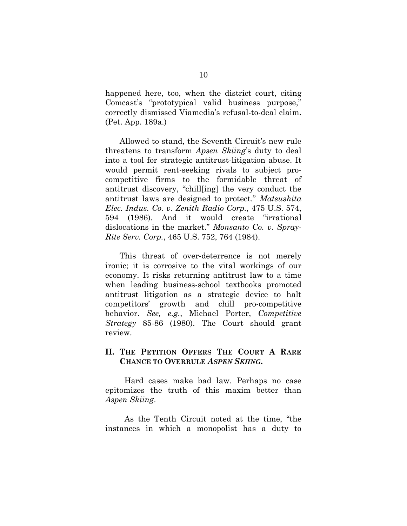happened here, too, when the district court, citing Comcast's "prototypical valid business purpose," correctly dismissed Viamedia's refusal-to-deal claim. (Pet. App. 189a.)

Allowed to stand, the Seventh Circuit's new rule threatens to transform *Apsen Skiing*'s duty to deal into a tool for strategic antitrust-litigation abuse. It would permit rent-seeking rivals to subject procompetitive firms to the formidable threat of antitrust discovery, "chill[ing] the very conduct the antitrust laws are designed to protect." *Matsushita Elec. Indus. Co. v. Zenith Radio Corp.*, 475 U.S. 574, 594 (1986). And it would create "irrational dislocations in the market." *Monsanto Co. v. Spray-Rite Serv. Corp.*, 465 U.S. 752, 764 (1984).

This threat of over-deterrence is not merely ironic; it is corrosive to the vital workings of our economy. It risks returning antitrust law to a time when leading business-school textbooks promoted antitrust litigation as a strategic device to halt competitors' growth and chill pro-competitive behavior. *See, e.g.*, Michael Porter, *Competitive Strategy* 85-86 (1980). The Court should grant review.

### **II. THE PETITION OFFERS THE COURT A RARE CHANCE TO OVERRULE** *ASPEN SKIING***.**

Hard cases make bad law. Perhaps no case epitomizes the truth of this maxim better than *Aspen Skiing*.

As the Tenth Circuit noted at the time, "the instances in which a monopolist has a duty to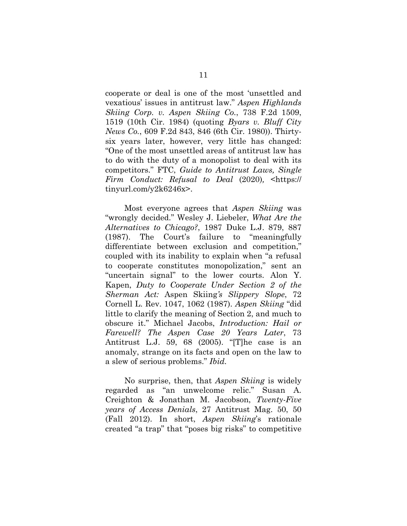cooperate or deal is one of the most 'unsettled and vexatious' issues in antitrust law." *Aspen Highlands Skiing Corp. v. Aspen Skiing Co.*, 738 F.2d 1509, 1519 (10th Cir. 1984) (quoting *Byars v. Bluff City News Co.*, 609 F.2d 843, 846 (6th Cir. 1980)). Thirtysix years later, however, very little has changed: "One of the most unsettled areas of antitrust law has to do with the duty of a monopolist to deal with its competitors." FTC, *Guide to Antitrust Laws, Single Firm Conduct: Refusal to Deal* (2020)*,* <https:// tinyurl.com/y2k6246x>.

Most everyone agrees that *Aspen Skiing* was "wrongly decided." Wesley J. Liebeler, *What Are the Alternatives to Chicago?*, 1987 Duke L.J. 879, 887 (1987). The Court's failure to "meaningfully differentiate between exclusion and competition," coupled with its inability to explain when "a refusal to cooperate constitutes monopolization," sent an "uncertain signal" to the lower courts. Alon Y. Kapen, *Duty to Cooperate Under Section 2 of the Sherman Act:* Aspen Skiing*'s Slippery Slope*, 72 Cornell L. Rev. 1047, 1062 (1987). *Aspen Skiing* "did little to clarify the meaning of Section 2, and much to obscure it." Michael Jacobs, *Introduction: Hail or Farewell? The Aspen Case 20 Years Later*, 73 Antitrust L.J. 59, 68 (2005). "[T]he case is an anomaly, strange on its facts and open on the law to a slew of serious problems." *Ibid.*

No surprise, then, that *Aspen Skiing* is widely regarded as "an unwelcome relic." Susan A. Creighton & Jonathan M. Jacobson, *Twenty-Five years of Access Denials*, 27 Antitrust Mag. 50, 50 (Fall 2012). In short, *Aspen Skiing*'s rationale created "a trap" that "poses big risks" to competitive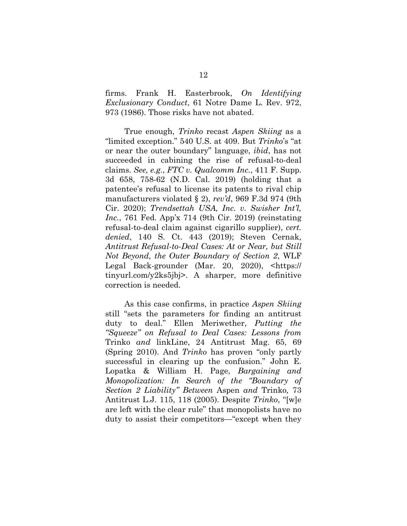firms. Frank H. Easterbrook, *On Identifying Exclusionary Conduct*, 61 Notre Dame L. Rev. 972, 973 (1986). Those risks have not abated.

True enough, *Trinko* recast *Aspen Skiing* as a "limited exception." 540 U.S. at 409. But *Trinko*'s "at or near the outer boundary" language, *ibid*, has not succeeded in cabining the rise of refusal-to-deal claims. *See, e.g.*, *FTC v. Qualcomm Inc.*, 411 F. Supp. 3d 658, 758-62 (N.D. Cal. 2019) (holding that a patentee's refusal to license its patents to rival chip manufacturers violated § 2), *rev'd*, 969 F.3d 974 (9th Cir. 2020); *Trendsettah USA, Inc. v. Swisher Int'l, Inc.*, 761 Fed. App'x 714 (9th Cir. 2019) (reinstating refusal-to-deal claim against cigarillo supplier), *cert. denied*, 140 S. Ct. 443 (2019); Steven Cernak, *Antitrust Refusal-to-Deal Cases: At or Near, but Still Not Beyond, the Outer Boundary of Section 2*, WLF Legal Back-grounder (Mar. 20, 2020), <https:// tinyurl.com/y2ks5jbj>. A sharper, more definitive correction is needed.

As this case confirms, in practice *Aspen Skiing*  still "sets the parameters for finding an antitrust duty to deal." Ellen Meriwether, *Putting the "Squeeze" on Refusal to Deal Cases: Lessons from*  Trinko *and* linkLine, 24 Antitrust Mag. 65, 69 (Spring 2010). And *Trinko* has proven "only partly successful in clearing up the confusion." John E. Lopatka & William H. Page, *Bargaining and Monopolization: In Search of the "Boundary of Section 2 Liability" Between* Aspen *and* Trinko*,* 73 Antitrust L.J. 115, 118 (2005). Despite *Trinko*, "[w]e are left with the clear rule" that monopolists have no duty to assist their competitors—"except when they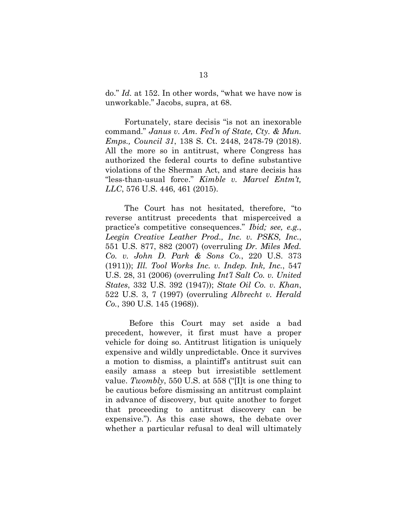do." *Id.* at 152. In other words, "what we have now is unworkable." Jacobs, supra, at 68.

Fortunately, stare decisis "is not an inexorable command." *Janus v. Am. Fed'n of State, Cty. & Mun. Emps., Council 31*, 138 S. Ct. 2448, 2478-79 (2018). All the more so in antitrust, where Congress has authorized the federal courts to define substantive violations of the Sherman Act, and stare decisis has "less-than-usual force." *Kimble v. Marvel Entm't, LLC*, 576 U.S. 446, 461 (2015).

The Court has not hesitated, therefore, "to reverse antitrust precedents that misperceived a practice's competitive consequences." *Ibid; see, e.g.*, *Leegin Creative Leather Prod., Inc. v. PSKS, Inc.*, 551 U.S. 877, 882 (2007) (overruling *Dr. Miles Med. Co. v. John D. Park & Sons Co.*, 220 U.S. 373 (1911)); *Ill. Tool Works Inc. v. Indep. Ink, Inc.*, 547 U.S. 28, 31 (2006) (overruling *Int'l Salt Co. v. United States*, 332 U.S. 392 (1947)); *State Oil Co. v. Khan*, 522 U.S. 3, 7 (1997) (overruling *Albrecht v. Herald Co.*, 390 U.S. 145 (1968)).

Before this Court may set aside a bad precedent, however, it first must have a proper vehicle for doing so. Antitrust litigation is uniquely expensive and wildly unpredictable. Once it survives a motion to dismiss, a plaintiff's antitrust suit can easily amass a steep but irresistible settlement value. *Twombly*, 550 U.S. at 558 ("[I]t is one thing to be cautious before dismissing an antitrust complaint in advance of discovery, but quite another to forget that proceeding to antitrust discovery can be expensive."). As this case shows, the debate over whether a particular refusal to deal will ultimately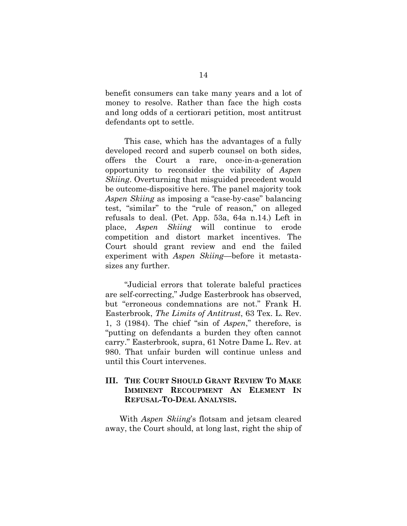benefit consumers can take many years and a lot of money to resolve. Rather than face the high costs and long odds of a certiorari petition, most antitrust defendants opt to settle.

This case, which has the advantages of a fully developed record and superb counsel on both sides, offers the Court a rare, once-in-a-generation opportunity to reconsider the viability of *Aspen Skiing*. Overturning that misguided precedent would be outcome-dispositive here. The panel majority took *Aspen Skiing* as imposing a "case-by-case" balancing test, "similar" to the "rule of reason," on alleged refusals to deal. (Pet. App. 53a, 64a n.14.) Left in place, *Aspen Skiing* will continue to erode competition and distort market incentives. The Court should grant review and end the failed experiment with *Aspen Skiing*—before it metastasizes any further.

"Judicial errors that tolerate baleful practices are self-correcting," Judge Easterbrook has observed, but "erroneous condemnations are not." Frank H. Easterbrook, *The Limits of Antitrust*, 63 Tex. L. Rev. 1, 3 (1984). The chief "sin of *Aspen*," therefore, is "putting on defendants a burden they often cannot carry." Easterbrook, supra, 61 Notre Dame L. Rev. at 980. That unfair burden will continue unless and until this Court intervenes.

### **III. THE COURT SHOULD GRANT REVIEW TO MAKE IMMINENT RECOUPMENT AN ELEMENT IN REFUSAL-TO-DEAL ANALYSIS.**

With *Aspen Skiing*'s flotsam and jetsam cleared away, the Court should, at long last, right the ship of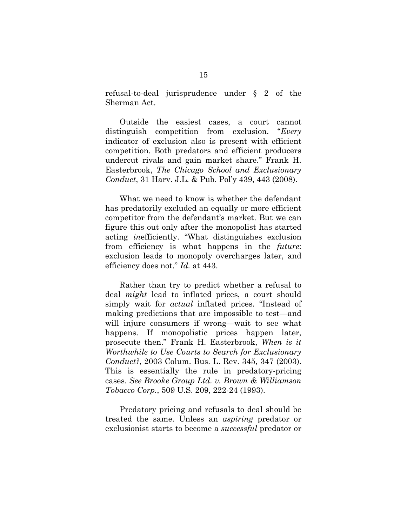refusal-to-deal jurisprudence under § 2 of the Sherman Act.

Outside the easiest cases, a court cannot distinguish competition from exclusion. "*Every* indicator of exclusion also is present with efficient competition. Both predators and efficient producers undercut rivals and gain market share." Frank H. Easterbrook, *The Chicago School and Exclusionary Conduct*, 31 Harv. J.L. & Pub. Pol'y 439, 443 (2008).

What we need to know is whether the defendant has predatorily excluded an equally or more efficient competitor from the defendant's market. But we can figure this out only after the monopolist has started acting *in*efficiently. "What distinguishes exclusion from efficiency is what happens in the *future*: exclusion leads to monopoly overcharges later, and efficiency does not." *Id.* at 443.

Rather than try to predict whether a refusal to deal *might* lead to inflated prices, a court should simply wait for *actual* inflated prices. "Instead of making predictions that are impossible to test—and will injure consumers if wrong—wait to see what happens. If monopolistic prices happen later, prosecute then." Frank H. Easterbrook, *When is it Worthwhile to Use Courts to Search for Exclusionary Conduct?*, 2003 Colum. Bus. L. Rev. 345, 347 (2003). This is essentially the rule in predatory-pricing cases. *See Brooke Group Ltd. v. Brown & Williamson Tobacco Corp.*, 509 U.S. 209, 222-24 (1993).

Predatory pricing and refusals to deal should be treated the same. Unless an *aspiring* predator or exclusionist starts to become a *successful* predator or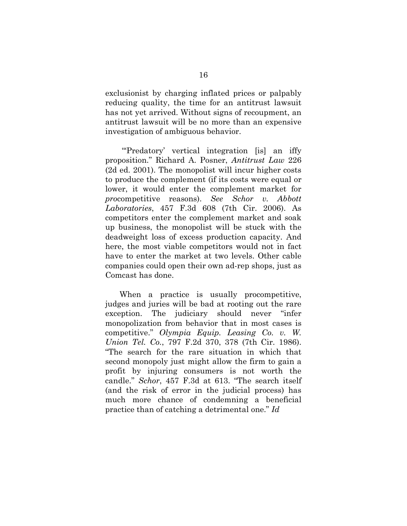exclusionist by charging inflated prices or palpably reducing quality, the time for an antitrust lawsuit has not yet arrived. Without signs of recoupment, an antitrust lawsuit will be no more than an expensive investigation of ambiguous behavior.

"Predatory' vertical integration [is] an iffy proposition." Richard A. Posner, *Antitrust Law* 226 (2d ed. 2001). The monopolist will incur higher costs to produce the complement (if its costs were equal or lower, it would enter the complement market for *pro*competitive reasons). *See Schor v. Abbott Laboratories*, 457 F.3d 608 (7th Cir. 2006). As competitors enter the complement market and soak up business, the monopolist will be stuck with the deadweight loss of excess production capacity. And here, the most viable competitors would not in fact have to enter the market at two levels. Other cable companies could open their own ad-rep shops, just as Comcast has done.

When a practice is usually procompetitive, judges and juries will be bad at rooting out the rare exception. The judiciary should never "infer monopolization from behavior that in most cases is competitive." *Olympia Equip. Leasing Co. v. W. Union Tel. Co.*, 797 F.2d 370, 378 (7th Cir. 1986). "The search for the rare situation in which that second monopoly just might allow the firm to gain a profit by injuring consumers is not worth the candle." *Schor*, 457 F.3d at 613. "The search itself (and the risk of error in the judicial process) has much more chance of condemning a beneficial practice than of catching a detrimental one." *Id*